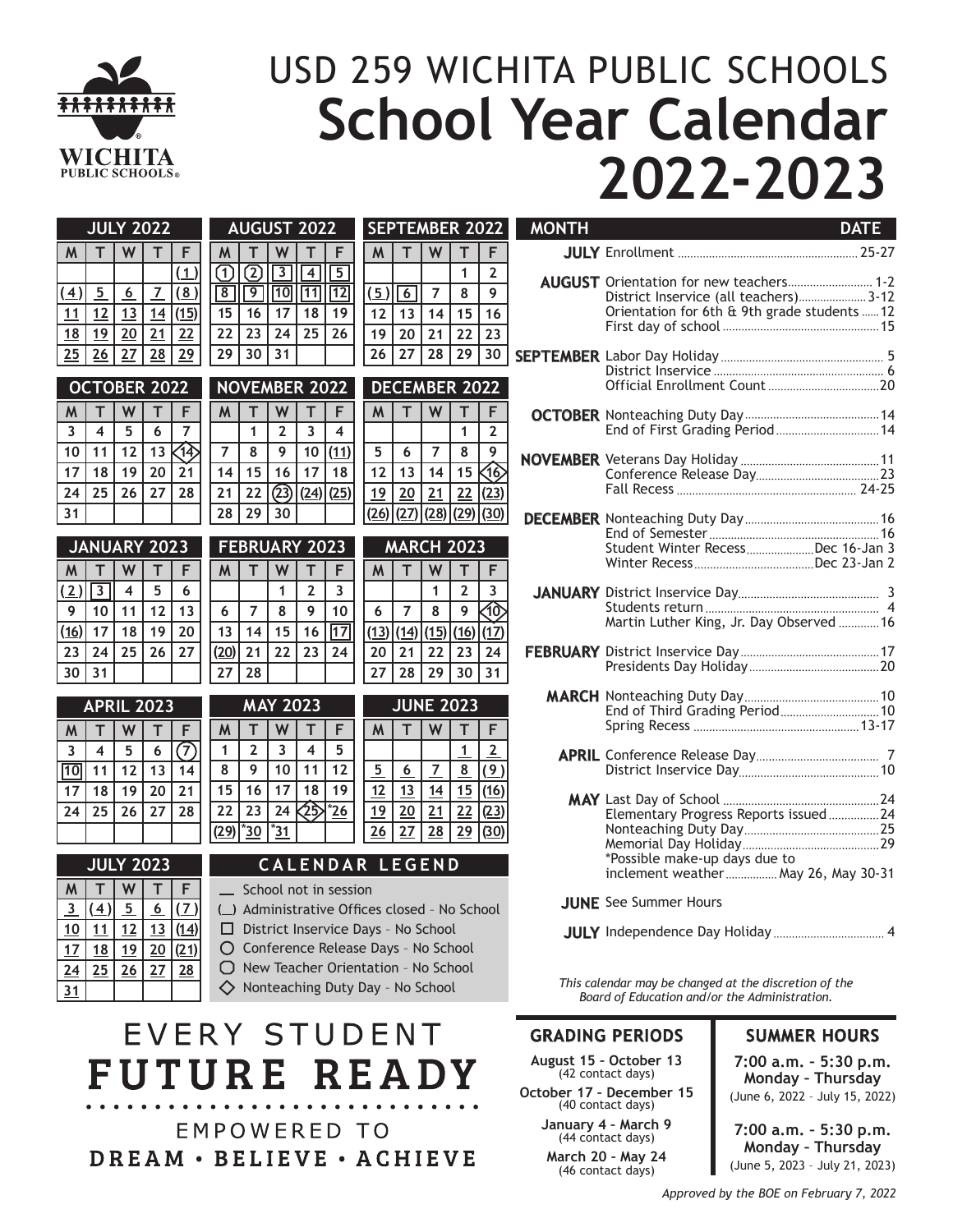

# USD 259 WICHITA PUBLIC SCHOOLS **School Year Calendar 2022-2023**

|                         | <b>JULY 2022</b>        |                         |                     |                                           | <b>AUGUST 2022</b>                                                                                    |                                     |                                       |                         | <b>SEPTEMBER 2022</b>   |                        |                |                      | <b>MONTH</b>   | <b>DATE</b>         |                                   |                                                |
|-------------------------|-------------------------|-------------------------|---------------------|-------------------------------------------|-------------------------------------------------------------------------------------------------------|-------------------------------------|---------------------------------------|-------------------------|-------------------------|------------------------|----------------|----------------------|----------------|---------------------|-----------------------------------|------------------------------------------------|
| M                       | T                       | W                       | т                   |                                           | M                                                                                                     |                                     | W                                     |                         |                         | M                      |                | W                    | т              | F                   |                                   |                                                |
| $\overline{4}$          |                         |                         | $\overline{1}$      | (1)<br>(8)                                | ①<br>$\boxed{8}$                                                                                      | $\overline{\textcircled{2}}$<br>ा । | $\sqrt{3}$<br>$\sqrt{10}$ $\sqrt{11}$ | $\overline{4}$          | $\overline{5}$<br> 12   | $(5)\sqrt{6}$          |                | $\overline{7}$       | 1<br>8         | $\overline{2}$<br>9 |                                   | <b>AUGUST</b> Orientation for new teachers 1-2 |
|                         | $\overline{5}$          | 6                       |                     |                                           |                                                                                                       |                                     |                                       |                         |                         |                        |                |                      |                |                     |                                   | District Inservice (all teachers)3-12          |
| 11                      | 12                      | 13                      | 14                  | (15)                                      | 15                                                                                                    | 16                                  | 17 <sup>2</sup>                       | 18                      | 19                      | 12                     | 13             | 14                   | 15             | 16                  |                                   | Orientation for 6th & 9th grade students  12   |
| $\overline{18}$         | 19                      | 20                      | 21                  | 22                                        | 22                                                                                                    | 23                                  | 24                                    | 25                      | 26                      | 19                     | 20             | 21                   | 22             | 23                  |                                   |                                                |
| $\overline{25}$         | 26                      | 27                      | 28                  | 29                                        | 29                                                                                                    | 30                                  | 31                                    |                         |                         | 26                     | 27             | 28                   | 29             | 30                  |                                   |                                                |
|                         |                         |                         |                     |                                           |                                                                                                       |                                     |                                       |                         |                         |                        |                |                      |                |                     |                                   |                                                |
|                         |                         |                         | <b>OCTOBER 2022</b> |                                           |                                                                                                       |                                     | <b>NOVEMBER 2022</b>                  |                         |                         |                        |                | <b>DECEMBER 2022</b> |                |                     |                                   |                                                |
| M                       |                         | W                       | T                   | F                                         | $M$                                                                                                   | т                                   | W                                     | T                       | F                       | M                      |                | W                    | т              | F                   |                                   |                                                |
| $\overline{\mathbf{3}}$ | $\overline{\mathbf{4}}$ | 5                       | 6                   | $\overline{7}$                            |                                                                                                       | $\mathbf{1}$                        | $\overline{2}$                        | $\overline{3}$          | $\overline{\mathbf{4}}$ |                        |                |                      | $\mathbf{1}$   | $\overline{2}$      |                                   |                                                |
| 10 <sup>1</sup>         | 11                      | 12                      | 13                  | <b>个</b>                                  | $\overline{7}$                                                                                        | 8                                   | 9                                     | 10                      | (11)                    | 5                      | 6              | $\overline{7}$       | 8              | 9                   |                                   |                                                |
|                         |                         |                         |                     |                                           |                                                                                                       |                                     |                                       |                         |                         |                        |                |                      |                |                     |                                   |                                                |
| 17                      | 18                      | 19                      | 20                  | 21                                        | 14                                                                                                    | 15                                  | 16                                    | 17                      | 18                      | 12                     | 13             | 14                   | 15             | ସିତି                |                                   |                                                |
| 24                      | 25                      | 26                      | 27                  | 28                                        | 21                                                                                                    | 22                                  |                                       | (23)(24)(25)            |                         | 19                     | 20             | 21                   | 22             | (23)                |                                   |                                                |
| 31                      |                         |                         |                     |                                           | 28                                                                                                    | 29                                  | 30                                    |                         |                         | (26)                   | (27)           | (28)                 | (29)           | (30)                |                                   |                                                |
|                         |                         |                         |                     |                                           |                                                                                                       |                                     |                                       |                         |                         |                        |                |                      |                |                     |                                   |                                                |
| <b>JANUARY 2023</b>     |                         |                         |                     | <b>FEBRUARY 2023</b><br><b>MARCH 2023</b> |                                                                                                       |                                     |                                       |                         |                         |                        |                |                      |                |                     | Student Winter RecessDec 16-Jan 3 |                                                |
| M                       |                         | W                       | T                   | F                                         | $\mathsf{M}$                                                                                          | T                                   | W                                     | T.                      | F                       | M                      |                | W                    | т              | F                   |                                   |                                                |
| $\left( 2\right)$       | $\overline{3}$          | $\overline{\mathbf{4}}$ | 5                   | 6                                         |                                                                                                       |                                     | $\mathbf{1}$                          | $\overline{2}$          | 3                       |                        |                | 1                    | $\overline{2}$ | 3                   |                                   |                                                |
| $\overline{9}$          | 10                      | 11                      | 12                  | 13                                        | 6                                                                                                     | $\overline{7}$                      | 8                                     | 9                       | 10                      | 6                      | $\overline{7}$ | 8                    | 9              | රැ                  |                                   |                                                |
|                         |                         |                         |                     |                                           |                                                                                                       |                                     |                                       |                         |                         |                        |                |                      |                |                     |                                   | Martin Luther King, Jr. Day Observed 16        |
| $\overline{16}$         | 17                      | 18                      | 19                  | 20                                        | 13                                                                                                    | 14                                  | 15                                    | 16                      | $\sqrt{17}$             | (13)                   | (14)           | (15)                 | (16)           | (17)                |                                   |                                                |
| $\overline{23}$         | 24                      | 25                      | 26                  | 27                                        | (20)                                                                                                  | 21                                  | 22                                    | 23                      | 24                      | 20                     | 21             | 22                   | 23             | 24                  |                                   |                                                |
| 30 <sup>7</sup>         | 31                      |                         |                     |                                           | 27                                                                                                    | 28                                  |                                       |                         |                         | 27                     | 28             | 29                   | 30             | 31                  |                                   |                                                |
|                         |                         |                         |                     |                                           |                                                                                                       |                                     |                                       |                         |                         |                        |                |                      |                |                     |                                   |                                                |
|                         |                         |                         | <b>APRIL 2023</b>   |                                           |                                                                                                       |                                     | <b>MAY 2023</b>                       |                         |                         |                        |                | <b>JUNE 2023</b>     |                |                     |                                   |                                                |
| M                       | т                       | W                       | т                   |                                           | $\mathsf{M}$                                                                                          | т                                   | W                                     | T                       | F                       | M                      | т              | W                    | т              | F                   |                                   |                                                |
| $\overline{\mathbf{3}}$ | $\overline{\mathbf{4}}$ | 5                       | 6                   | $\left( 7\right)$                         | 1                                                                                                     | $\overline{2}$                      | $\overline{3}$                        | $\overline{\mathbf{4}}$ | 5                       |                        |                |                      | $\mathbf{1}$   | $\overline{2}$      |                                   |                                                |
| 10                      | 11                      | 12                      | 13                  | 14                                        | 8                                                                                                     | 9                                   | 10 <sup>°</sup>                       | 11                      | 12                      | $5\phantom{.0}$        | 6              | $\overline{7}$       | 8              | (9)                 |                                   |                                                |
| 17                      | 18                      | 19                      | 20                  | 21                                        | 15                                                                                                    | 16                                  | 17                                    | 18                      | 19                      | 12                     | 13             | 14                   | 15             | (16)                |                                   |                                                |
|                         |                         |                         |                     |                                           |                                                                                                       |                                     |                                       |                         |                         |                        |                |                      |                |                     |                                   |                                                |
| 24                      | 25                      | 26                      | 27                  | 28                                        | 22                                                                                                    | 23                                  | 24                                    | 珍                       | $*26$                   | 19                     | 20             | 21                   | 22             | (23)                |                                   | Elementary Progress Reports issued24           |
|                         |                         |                         |                     |                                           | (29)                                                                                                  | *30                                 | *31                                   |                         |                         | 26                     | 27             | 28                   | 29             | (30)                |                                   |                                                |
|                         |                         |                         |                     |                                           |                                                                                                       |                                     |                                       |                         |                         |                        |                |                      |                |                     |                                   | *Possible make-up days due to                  |
|                         |                         |                         | <b>JULY 2023</b>    |                                           |                                                                                                       |                                     |                                       |                         |                         | <b>CALENDAR LEGEND</b> |                |                      |                |                     |                                   | inclement weather  May 26, May 30-31           |
| M                       |                         |                         |                     |                                           |                                                                                                       |                                     |                                       |                         |                         |                        |                |                      |                |                     |                                   |                                                |
|                         | $\sqrt{4}$ $\sqrt{5}$   |                         | 6                   | (7)                                       | School not in session<br><b>JUNE</b> See Summer Hours<br>() Administrative Offices closed - No School |                                     |                                       |                         |                         |                        |                |                      |                |                     |                                   |                                                |

4 Independence Day Holiday **JULY**

*This calendar may be changed at the discretion of the Board of Education and/or the Administration.*

### **GRADING PERIODS**

**August 15 – October 13** (42 contact days)

**October 17 – December 15** (40 contact days)

**January 4 – March 9** (44 contact days)

**March 20 – May 24** (46 contact days)

### **SUMMER HOURS**

**7:00 a.m. – 5:30 p.m. Monday – Thursday** (June 6, 2022 – July 15, 2022)

**7:00 a.m. – 5:30 p.m. Monday – Thursday** (June 5, 2023 – July 21, 2023)

| <b>JANUARY 2023</b> |    |    |    |    |  |  |  |
|---------------------|----|----|----|----|--|--|--|
| M                   |    |    |    | F  |  |  |  |
| (2)                 |    |    | 5  | 6  |  |  |  |
|                     |    | 11 | 12 | 13 |  |  |  |
| (16)                | 17 | 18 | 19 | 20 |  |  |  |
| 23                  | 24 | 25 | 26 | 27 |  |  |  |
|                     | 31 |    |    |    |  |  |  |

| <b>APRIL 2023</b> |    |    |    |    |  |  |
|-------------------|----|----|----|----|--|--|
| M                 |    |    |    | F  |  |  |
| 3                 | 4  | 5  | 6  |    |  |  |
|                   | 11 | 12 | 13 | 14 |  |  |
|                   | 18 | 19 | 20 | 21 |  |  |
| 24                | 25 | 26 | 27 | 28 |  |  |
|                   |    |    |    |    |  |  |

| <b>JULY 2023</b> |    |    |   |    |  |  |  |
|------------------|----|----|---|----|--|--|--|
| M                |    |    |   | E  |  |  |  |
|                  |    | 5  | 6 |    |  |  |  |
| 10               |    |    |   |    |  |  |  |
|                  | 18 | 19 |   |    |  |  |  |
| 24               |    | 26 |   | 28 |  |  |  |
|                  |    |    |   |    |  |  |  |

Administrative Offices closed – No School □ District Inservice Days - No School

Conference Release Days – No School

New Teacher Orientation – No School

 $\diamondsuit$  Nonteaching Duty Day - No School

## EVERY STUDENT **FUTURE READY**

**EMPOWERED TO** DREAM · BELIEVE · ACHIEVE

*Approved by the BOE on February 7, 2022*